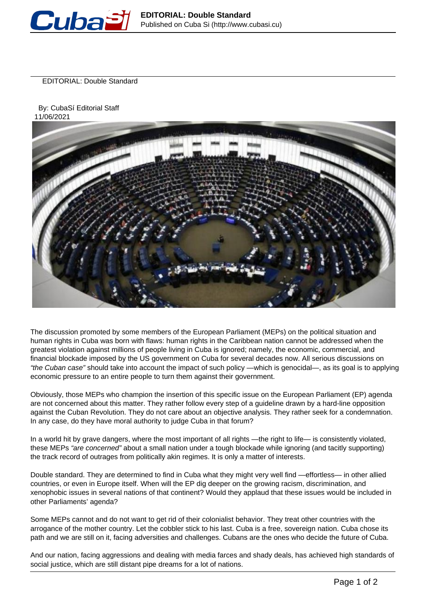

EDITORIAL: Double Standard

 By: CubaSí Editorial Staff 11/06/2021



The discussion promoted by some members of the European Parliament (MEPs) on the political situation and human rights in Cuba was born with flaws: human rights in the Caribbean nation cannot be addressed when the greatest violation against millions of people living in Cuba is ignored; namely, the economic, commercial, and financial blockade imposed by the US government on Cuba for several decades now. All serious discussions on "the Cuban case" should take into account the impact of such policy —which is genocidal—, as its goal is to applying economic pressure to an entire people to turn them against their government.

Obviously, those MEPs who champion the insertion of this specific issue on the European Parliament (EP) agenda are not concerned about this matter. They rather follow every step of a guideline drawn by a hard-line opposition against the Cuban Revolution. They do not care about an objective analysis. They rather seek for a condemnation. In any case, do they have moral authority to judge Cuba in that forum?

In a world hit by grave dangers, where the most important of all rights —the right to life— is consistently violated, these MEPs "are concerned" about a small nation under a tough blockade while ignoring (and tacitly supporting) the track record of outrages from politically akin regimes. It is only a matter of interests.

Double standard. They are determined to find in Cuba what they might very well find —effortless— in other allied countries, or even in Europe itself. When will the EP dig deeper on the growing racism, discrimination, and xenophobic issues in several nations of that continent? Would they applaud that these issues would be included in other Parliaments' agenda?

Some MEPs cannot and do not want to get rid of their colonialist behavior. They treat other countries with the arrogance of the mother country. Let the cobbler stick to his last. Cuba is a free, sovereign nation. Cuba chose its path and we are still on it, facing adversities and challenges. Cubans are the ones who decide the future of Cuba.

And our nation, facing aggressions and dealing with media farces and shady deals, has achieved high standards of social justice, which are still distant pipe dreams for a lot of nations.